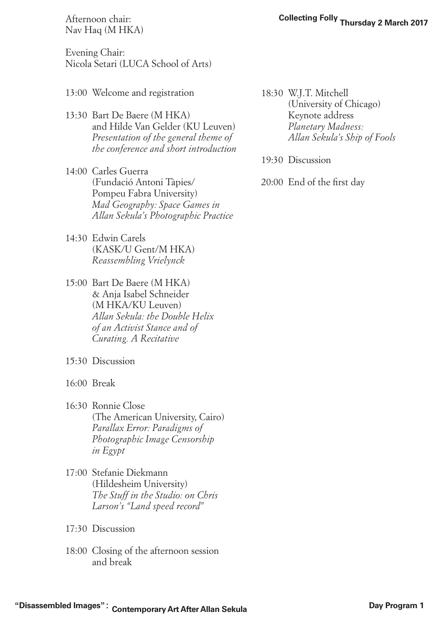Nav Haq (M HKA)

Evening Chair: Nicola Setari (LUCA School of Arts)

- 13:00 Welcome and registration
- 13:30 Bart De Baere (M HKA) and Hilde Van Gelder (KU Leuven) *Presentation of the general theme of the conference and short introduction*
- 14:00 Carles Guerra (Fundació Antoni Tàpies/ Pompeu Fabra University) *Mad Geography: Space Games in Allan Sekula's Photographic Practice*
- 14:30 Edwin Carels (KASK/U Gent/M HKA) *Reassembling Vrielynck*
- 15:00 Bart De Baere (M HKA) & Anja Isabel Schneider (M HKA/KU Leuven) *Allan Sekula: the Double Helix of an Activist Stance and of Curating. A Recitative*
- 15:30 Discussion
- 16:00 Break
- 16:30 Ronnie Close (The American University, Cairo) *Parallax Error: Paradigms of Photographic Image Censorship in Egypt*
- 17:00 Stefanie Diekmann (Hildesheim University) *The Stuff in the Studio: on Chris Larson's "Land speed record"*
- 17:30 Discussion
- 18:00 Closing of the afternoon session and break
- 18:30 W.J.T. Mitchell (University of Chicago) Keynote address *Planetary Madness: Allan Sekula's Ship of Fools*
- 19:30 Discussion

20:00 End of the first day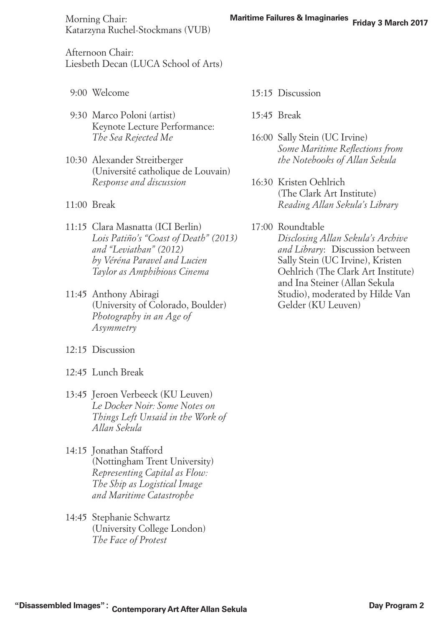**Maritime Failures & Imaginaries** Morning Chair: **Friday 3 March 2017** Katarzyna Ruchel-Stockmans (VUB)

Afternoon Chair: Liesbeth Decan (LUCA School of Arts)

- 9:00 Welcome
- 9:30 Marco Poloni (artist) Keynote Lecture Performance: *The Sea Rejected Me*
- 10:30 Alexander Streitberger (Université catholique de Louvain) *Response and discussion*
- 11:00 Break
- 11:15 Clara Masnatta (ICI Berlin) *Lois Patiño's "Coast of Death" (2013) and "Leviathan" (2012) by Véréna Paravel and Lucien Taylor as Amphibious Cinema*
- 11:45 Anthony Abiragi (University of Colorado, Boulder) *Photography in an Age of Asymmetry*
- 12:15 Discussion
- 12:45 Lunch Break
- 13:45 Jeroen Verbeeck (KU Leuven) *Le Docker Noir: Some Notes on Things Left Unsaid in the Work of Allan Sekula*
- 14:15 Jonathan Stafford (Nottingham Trent University) *Representing Capital as Flow: The Ship as Logistical Image and Maritime Catastrophe*
- 14:45 Stephanie Schwartz (University College London) *The Face of Protest*
- 15:15 Discussion
- $15.45$  Break
- 16:00 Sally Stein (UC Irvine) *Some Maritime Reflections from the Notebooks of Allan Sekula*
- 16:30 Kristen Oehlrich (The Clark Art Institute) *Reading Allan Sekula's Library*

## 17:00 Roundtable

*Disclosing Allan Sekula's Archive and Library*: Discussion between Sally Stein (UC Irvine), Kristen Oehlrich (The Clark Art Institute) and Ina Steiner (Allan Sekula Studio), moderated by Hilde Van Gelder (KU Leuven)